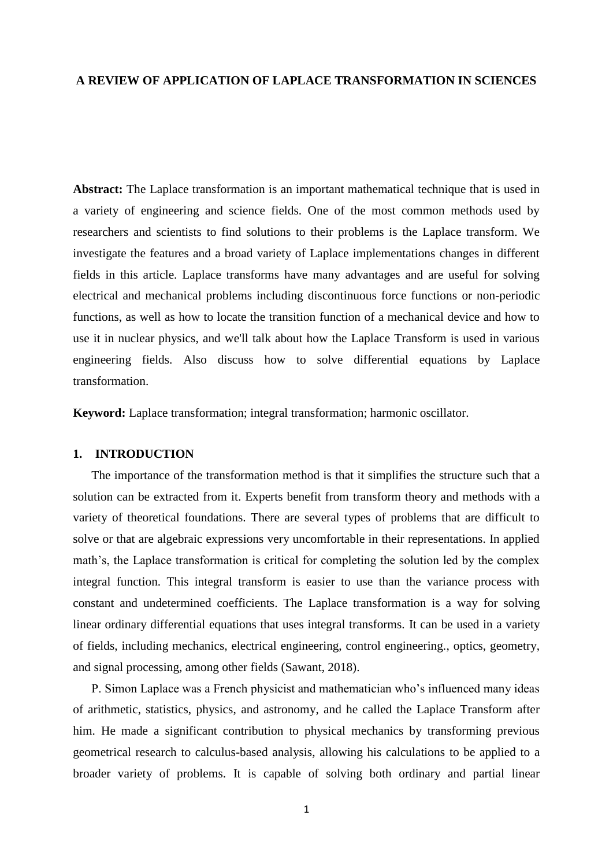## **A REVIEW OF APPLICATION OF LAPLACE TRANSFORMATION IN SCIENCES**

**Abstract:** The Laplace transformation is an important mathematical technique that is used in a variety of engineering and science fields. One of the most common methods used by researchers and scientists to find solutions to their problems is the Laplace transform. We investigate the features and a broad variety of Laplace implementations changes in different fields in this article. Laplace transforms have many advantages and are useful for solving electrical and mechanical problems including discontinuous force functions or non-periodic functions, as well as how to locate the transition function of a mechanical device and how to use it in nuclear physics, and we'll talk about how the Laplace Transform is used in various engineering fields. Also discuss how to solve differential equations by Laplace transformation.

**Keyword:** Laplace transformation; integral transformation; harmonic oscillator.

#### **1. INTRODUCTION**

The importance of the transformation method is that it simplifies the structure such that a solution can be extracted from it. Experts benefit from transform theory and methods with a variety of theoretical foundations. There are several types of problems that are difficult to solve or that are algebraic expressions very uncomfortable in their representations. In applied math's, the Laplace transformation is critical for completing the solution led by the complex integral function. This integral transform is easier to use than the variance process with constant and undetermined coefficients. The Laplace transformation is a way for solving linear ordinary differential equations that uses integral transforms. It can be used in a variety of fields, including mechanics, electrical engineering, control engineering., optics, geometry, and signal processing, among other fields (Sawant, 2018).

P. Simon Laplace was a French physicist and mathematician who's influenced many ideas of arithmetic, statistics, physics, and astronomy, and he called the Laplace Transform after him. He made a significant contribution to physical mechanics by transforming previous geometrical research to calculus-based analysis, allowing his calculations to be applied to a broader variety of problems. It is capable of solving both ordinary and partial linear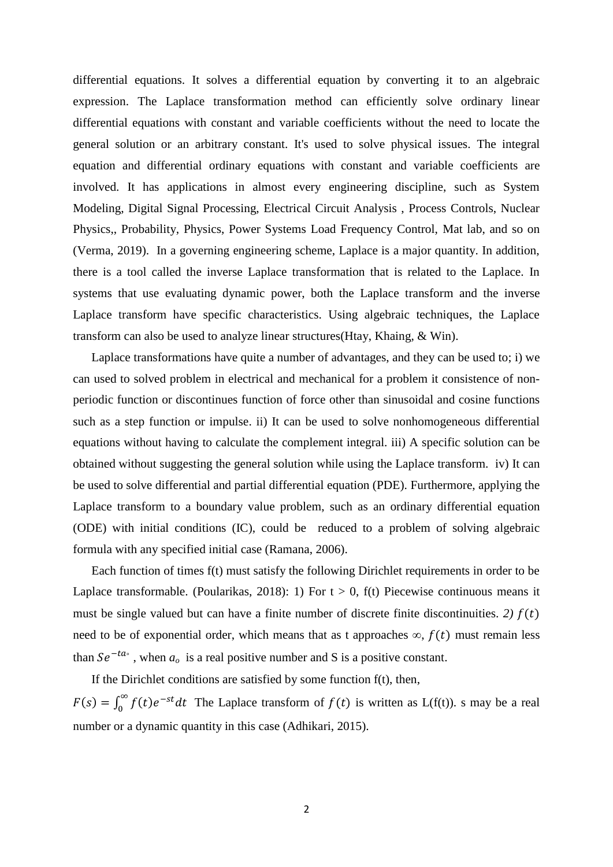differential equations. It solves a differential equation by converting it to an algebraic expression. The Laplace transformation method can efficiently solve ordinary linear differential equations with constant and variable coefficients without the need to locate the general solution or an arbitrary constant. It's used to solve physical issues. The integral equation and differential ordinary equations with constant and variable coefficients are involved. It has applications in almost every engineering discipline, such as System Modeling, Digital Signal Processing, Electrical Circuit Analysis , Process Controls, Nuclear Physics,, Probability, Physics, Power Systems Load Frequency Control, Mat lab, and so on (Verma, 2019). In a governing engineering scheme, Laplace is a major quantity. In addition, there is a tool called the inverse Laplace transformation that is related to the Laplace. In systems that use evaluating dynamic power, both the Laplace transform and the inverse Laplace transform have specific characteristics. Using algebraic techniques, the Laplace transform can also be used to analyze linear structures(Htay, Khaing, & Win).

Laplace transformations have quite a number of advantages, and they can be used to; i) we can used to solved problem in electrical and mechanical for a problem it consistence of nonperiodic function or discontinues function of force other than sinusoidal and cosine functions such as a step function or impulse. ii) It can be used to solve nonhomogeneous differential equations without having to calculate the complement integral. iii) A specific solution can be obtained without suggesting the general solution while using the Laplace transform. iv) It can be used to solve differential and partial differential equation (PDE). Furthermore, applying the Laplace transform to a boundary value problem, such as an ordinary differential equation (ODE) with initial conditions (IC), could be reduced to a problem of solving algebraic formula with any specified initial case (Ramana, 2006).

Each function of times f(t) must satisfy the following Dirichlet requirements in order to be Laplace transformable. (Poularikas, 2018): 1) For  $t > 0$ ,  $f(t)$  Piecewise continuous means it must be single valued but can have a finite number of discrete finite discontinuities. 2)  $f(t)$ need to be of exponential order, which means that as t approaches  $\infty$ ,  $f(t)$  must remain less than  $Se^{-ta\circ}$ , when  $a_o$  is a real positive number and S is a positive constant.

If the Dirichlet conditions are satisfied by some function  $f(t)$ , then,  $F(s) = \int_0^\infty f(t)e^{-t}$  $\int_{0}^{\infty} f(t)e^{-st}dt$  The Laplace transform of  $f(t)$  is written as L(f(t)). s may be a real number or a dynamic quantity in this case (Adhikari, 2015).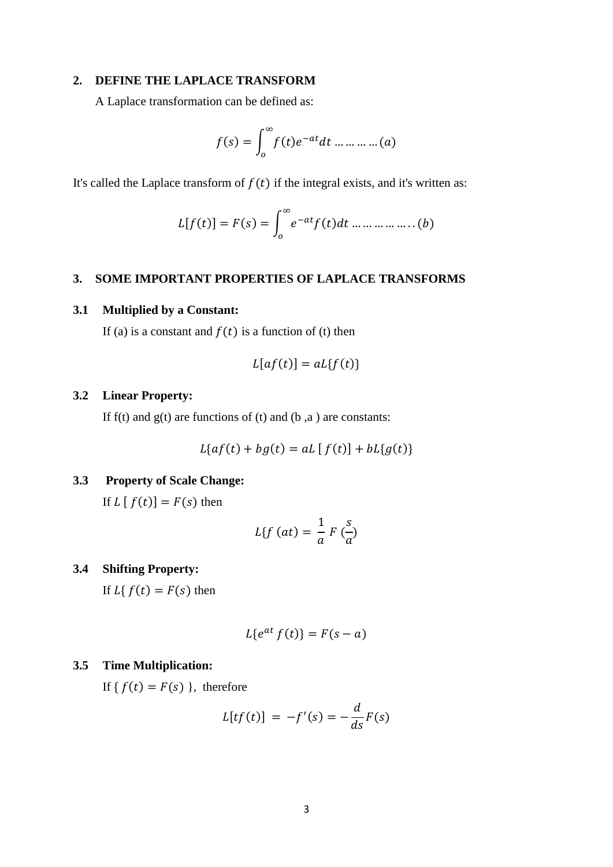## **2. DEFINE THE LAPLACE TRANSFORM**

A Laplace transformation can be defined as:

$$
f(s) = \int_0^\infty f(t)e^{-at}dt \dots \dots \dots \dots (a)
$$

It's called the Laplace transform of  $f(t)$  if the integral exists, and it's written as:

$$
L[f(t)] = F(s) = \int_0^{\infty} e^{-at} f(t) dt \dots \dots \dots \dots \dots (b)
$$

# **3. SOME IMPORTANT PROPERTIES OF LAPLACE TRANSFORMS**

# **3.1 Multiplied by a Constant:**

If (a) is a constant and  $f(t)$  is a function of (t) then

$$
L[af(t)] = aLf(t)
$$

# **3.2 Linear Property:**

If f(t) and  $g(t)$  are functions of (t) and (b, a) are constants:

$$
L\{af(t) + bg(t) = aL[f(t)] + bL\{g(t)\}\}
$$

# **3.3 Property of Scale Change:**

If  $L [ f(t) ] = F(s)$  then

$$
L\{f(at) = \frac{1}{a} F\left(\frac{s}{a}\right)
$$

**3.4 Shifting Property:**

If  $L\{f(t) = F(s)$  then

$$
L\{e^{at} f(t)\}=F(s-a)
$$

# **3.5 Time Multiplication:**

If {  $f(t) = F(s)$  }, therefore

$$
L[tf(t)] = -f'(s) = -\frac{d}{ds}F(s)
$$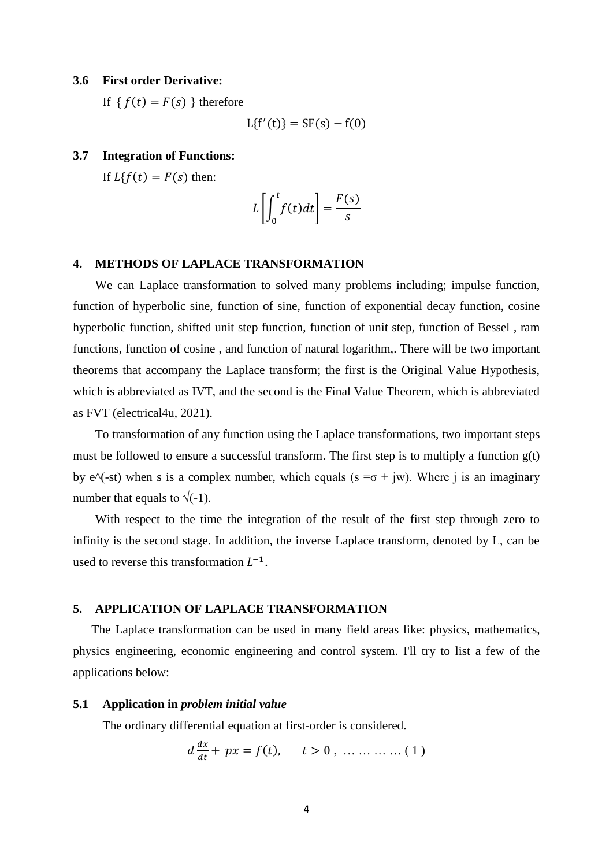#### **3.6 First order Derivative:**

If  ${f(t) = F(s)}$  therefore

$$
L{f'(t)} = SF(s) - f(0)
$$

## **3.7 Integration of Functions:**

If  $Lf(f(t)) = F(s)$  then:

$$
L\left[\int_0^t f(t)dt\right] = \frac{F(s)}{s}
$$

## **4. METHODS OF LAPLACE TRANSFORMATION**

We can Laplace transformation to solved many problems including; impulse function, function of hyperbolic sine, function of sine, function of exponential decay function, cosine hyperbolic function, shifted unit step function, function of unit step, function of Bessel , ram functions, function of cosine , and function of natural logarithm,. There will be two important theorems that accompany the Laplace transform; the first is the Original Value Hypothesis, which is abbreviated as IVT, and the second is the Final Value Theorem, which is abbreviated as FVT (electrical4u, 2021).

To transformation of any function using the Laplace transformations, two important steps must be followed to ensure a successful transform. The first step is to multiply a function g(t) by e^(-st) when s is a complex number, which equals (s = $\sigma$  + jw). Where j is an imaginary number that equals to  $\sqrt{(-1)}$ .

With respect to the time the integration of the result of the first step through zero to infinity is the second stage. In addition, the inverse Laplace transform, denoted by L, can be used to reverse this transformation  $L^{-1}$ .

# **5. APPLICATION OF LAPLACE TRANSFORMATION**

The Laplace transformation can be used in many field areas like: physics, mathematics, physics engineering, economic engineering and control system. I'll try to list a few of the applications below:

## **5.1 Application in** *problem initial value*

The ordinary differential equation at first-order is considered.

$$
d \frac{dx}{dt} + px = f(t), \quad t > 0, \dots \dots \dots \dots (1)
$$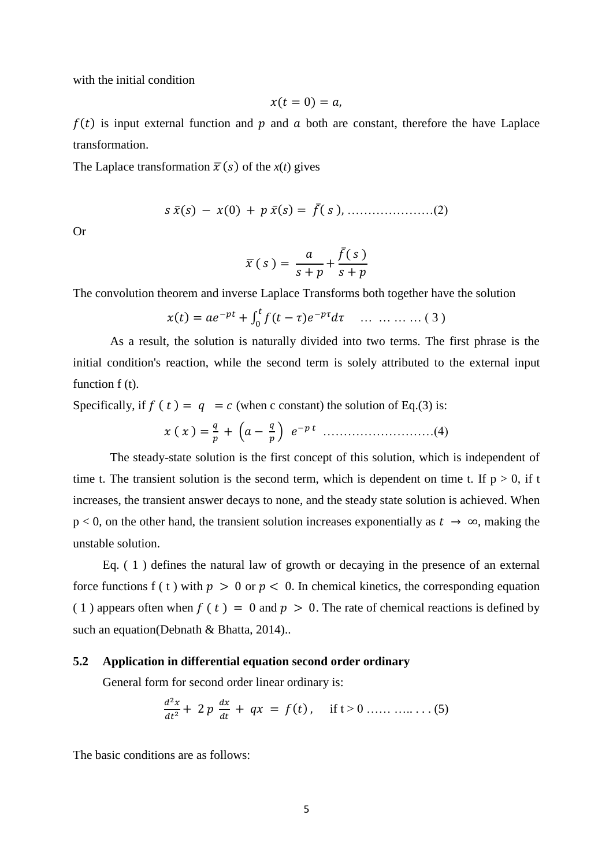with the initial condition

$$
x(t=0)=a,
$$

 $f(t)$  is input external function and p and a both are constant, therefore the have Laplace transformation.

The Laplace transformation  $\bar{x}(s)$  of the  $x(t)$  gives

̅ ̅ ̅ …………………(2)

Or

$$
\bar{x}(s) = \frac{a}{s+p} + \frac{\bar{f}(s)}{s+p}
$$

The convolution theorem and inverse Laplace Transforms both together have the solution

$$
x(t) = ae^{-pt} + \int_0^t f(t-\tau)e^{-p\tau}d\tau \quad \dots \quad \dots \quad \dots \quad (3)
$$

As a result, the solution is naturally divided into two terms. The first phrase is the initial condition's reaction, while the second term is solely attributed to the external input function  $f(t)$ .

Specifically, if  $f(t) = q = c$  (when c constant) the solution of Eq.(3) is:

$$
x(x) = \frac{q}{p} + \left(a - \frac{q}{p}\right) e^{-pt} \dots (4)
$$

The steady-state solution is the first concept of this solution, which is independent of time t. The transient solution is the second term, which is dependent on time t. If  $p > 0$ , if t increases, the transient answer decays to none, and the steady state solution is achieved. When  $p < 0$ , on the other hand, the transient solution increases exponentially as  $t \to \infty$ , making the unstable solution.

Eq. ( 1 ) defines the natural law of growth or decaying in the presence of an external force functions f ( t ) with  $p > 0$  or  $p < 0$ . In chemical kinetics, the corresponding equation (1) appears often when  $f(t) = 0$  and  $p > 0$ . The rate of chemical reactions is defined by such an equation(Debnath & Bhatta, 2014)..

#### **5.2 Application in differential equation second order ordinary**

General form for second order linear ordinary is:

$$
\frac{d^2x}{dt^2} + 2 p \frac{dx}{dt} + qx = f(t), \quad \text{if } t > 0 \dots \dots \dots \dots \dots \dots \tag{5}
$$

The basic conditions are as follows: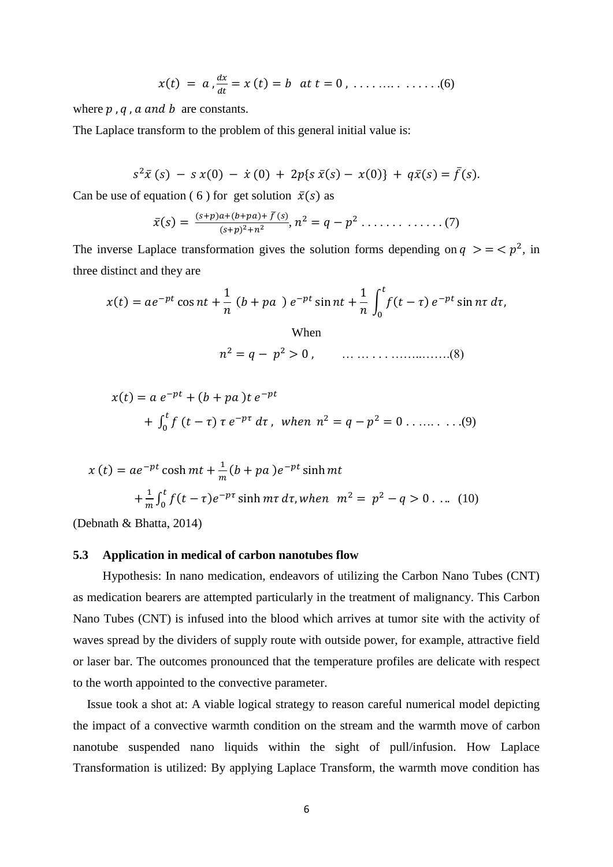$$
x(t) = a, \frac{dx}{dt} = x(t) = b
$$
 at  $t = 0, \ldots, \ldots, \ldots, (6)$ 

where  $p$ ,  $q$ ,  $a$  and  $b$  are constants.

The Laplace transform to the problem of this general initial value is:

$$
s^{2}\bar{x}(s) - s x(0) - \dot{x}(0) + 2p\{s\,\bar{x}(s) - x(0)\} + q\bar{x}(s) = \bar{f}(s).
$$

Can be use of equation ( 6 ) for get solution  $\bar{x}(s)$  as

$$
\bar{x}(s) = \frac{(s+p)a + (b+pa) + \bar{f}(s)}{(s+p)^2 + n^2}, n^2 = q - p^2 \dots \dots \dots \dots \dots (7)
$$

The inverse Laplace transformation gives the solution forms depending on  $q \geq \frac{1}{2}$ , in three distinct and they are

 ∫ When … … . . . ……..…….(8)

$$
\mathcal{L}^{\mathcal{L}}(\mathcal{L}^{\mathcal{L}}(\mathcal{L}^{\mathcal{L}}(\mathcal{L}^{\mathcal{L}}(\mathcal{L}^{\mathcal{L}}(\mathcal{L}^{\mathcal{L}}(\mathcal{L}^{\mathcal{L}}(\mathcal{L}^{\mathcal{L}}(\mathcal{L}^{\mathcal{L}}(\mathcal{L}^{\mathcal{L}}(\mathcal{L}^{\mathcal{L}}(\mathcal{L}^{\mathcal{L}}(\mathcal{L}^{\mathcal{L}}(\mathcal{L}^{\mathcal{L}}(\mathcal{L}^{\mathcal{L}}(\mathcal{L}^{\mathcal{L}}(\mathcal{L}^{\mathcal{L}}(\mathcal{L}^{\mathcal{L}}(\mathcal{L}^{\mathcal{L}}(\mathcal{L}^{\mathcal{L}}(\mathcal{L}^{\mathcal{L}}(\mathcal{L}^{\mathcal{L}}(\mathcal{L}^{\mathcal{L}}(\mathcal{L}^{\mathcal{L}}(\mathcal{L}^{\mathcal{L}}(\mathcal{L}^{\mathcal{L}}(\mathcal{L}^{\mathcal{L}}(\mathcal{L}^{\mathcal{L}}(\mathcal{L}^{\mathcal{L}}(\mathcal{L}^{\mathcal{L}}(\mathcal{L}^{\mathcal{L}}(\mathcal{L}^{\mathcal{L}}(\mathcal{L}^{\mathcal{L}}(\mathcal{L}^{\mathcal{L}}(\mathcal{L}^{\mathcal{L}}(\mathcal{L}^{\mathcal{L}}(\mathcal{L}^{\mathcal{L}}(\mathcal{L}^{\mathcal{L}}(\mathcal{L}^{\mathcal{L}}(\mathcal{L}^{\mathcal{L}}(\mathcal{L}^{\mathcal{L}}(\mathcal{L}^{\mathcal{L}}(\mathcal{L}^{\mathcal{L}}(\mathcal{L}^{\mathcal{L}}(\mathcal{L}^{\mathcal{L}}(\mathcal{L}^{\mathcal{L}}(\mathcal{L}^{\mathcal{L}}(\mathcal{L}^{\mathcal{L}}(\mathcal{L}^{\mathcal{L}}(\mathcal{L}^{\mathcal{L}}(\mathcal{L}^{\mathcal{L}}(\mathcal{L}^{\mathcal{L}}(\mathcal{L}^{\mathcal{L}}(\mathcal{L}^{\mathcal{L}}(\mathcal{L}^{\mathcal{L}}(\mathcal{L}^{\mathcal{L}}(\mathcal{L}^{\mathcal{L}}(\mathcal{L}^{\mathcal{L}}(\mathcal{L}
$$

$$
x(t) = a e^{-pt} + (b + pa) t e^{-pt}
$$
  
+  $\int_0^t f(t - \tau) \tau e^{-p\tau} d\tau$ , when  $n^2 = q - p^2 = 0$  ....... (9)

$$
x(t) = ae^{-pt} \cosh mt + \frac{1}{m}(b + pa) e^{-pt} \sinh mt
$$
  
+  $\frac{1}{m} \int_0^t f(t - \tau) e^{-pt} \sinh mt \, d\tau$ , when  $m^2 = p^2 - q > 0$  .... (10)

(Debnath & Bhatta, 2014)

#### **5.3 Application in medical of carbon nanotubes flow**

Hypothesis: In nano medication, endeavors of utilizing the Carbon Nano Tubes (CNT) as medication bearers are attempted particularly in the treatment of malignancy. This Carbon Nano Tubes (CNT) is infused into the blood which arrives at tumor site with the activity of waves spread by the dividers of supply route with outside power, for example, attractive field or laser bar. The outcomes pronounced that the temperature profiles are delicate with respect to the worth appointed to the convective parameter.

Issue took a shot at: A viable logical strategy to reason careful numerical model depicting the impact of a convective warmth condition on the stream and the warmth move of carbon nanotube suspended nano liquids within the sight of pull/infusion. How Laplace Transformation is utilized: By applying Laplace Transform, the warmth move condition has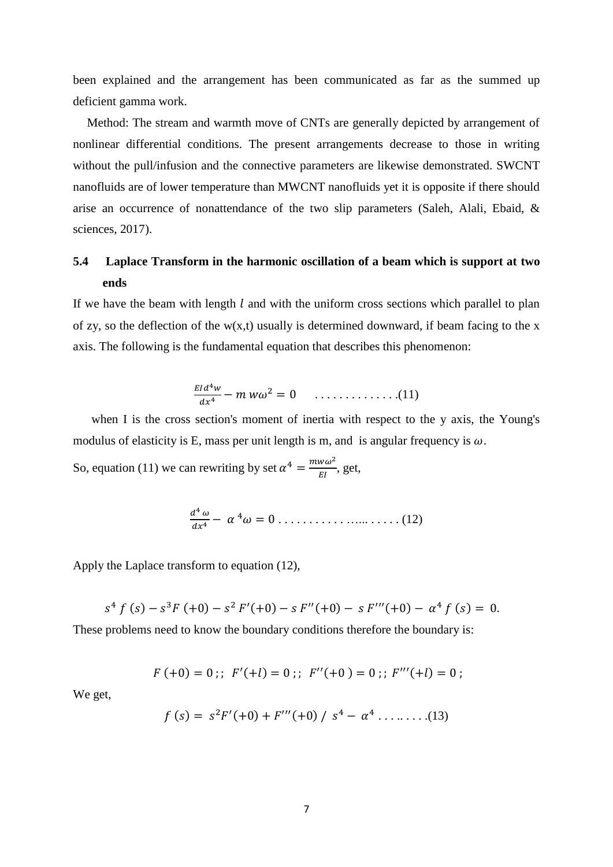been explained and the arrangement has been communicated as far as the summed up deficient gamma work.

Method: The stream and warmth move of CNTs are generally depicted by arrangement of nonlinear differential conditions. The present arrangements decrease to those in writing without the pull/infusion and the connective parameters are likewise demonstrated. SWCNT nanofluids are of lower temperature than MWCNT nanofluids yet it is opposite if there should arise an occurrence of nonattendance of the two slip parameters (Saleh, Alali, Ebaid, & sciences, 2017).

# **5.4 Laplace Transform in the harmonic oscillation of a beam which is support at two ends**

If we have the beam with length  $l$  and with the uniform cross sections which parallel to plan of zy, so the deflection of the  $w(x,t)$  usually is determined downward, if beam facing to the x axis. The following is the fundamental equation that describes this phenomenon:

$$
\frac{Eld^4w}{dx^4} - m\,w\omega^2 = 0 \qquad \ldots \qquad (11)
$$

when I is the cross section's moment of inertia with respect to the y axis, the Young's modulus of elasticity is E, mass per unit length is m, and is angular frequency is  $\omega$ .

So, equation (11) we can rewriting by set  $\alpha^4 = \frac{m}{n}$  $\frac{w\omega}{EI}$ , get,

$$
\frac{d^4\,\omega}{dx^4}-\alpha^4\omega=0\ldots\ldots\ldots\ldots\ldots\ldots\ldots\ldots\ldots(12)
$$

Apply the Laplace transform to equation (12),

Í

$$
s4 f (s) - s3F (+0) - s2 F' (+0) - s F'' (+0) - s F''' (+0) - \alpha4 f (s) = 0.
$$

These problems need to know the boundary conditions therefore the boundary is:

$$
F(+0) = 0 ;; \ F'(+l) = 0 ;; \ F''(+0) = 0 ;; \ F'''(+l) = 0 ;
$$

We get,

$$
f(s) = s2F'(+0) + F'''(+0) / s4 - \alpha4 \dots \dots \dots (13)
$$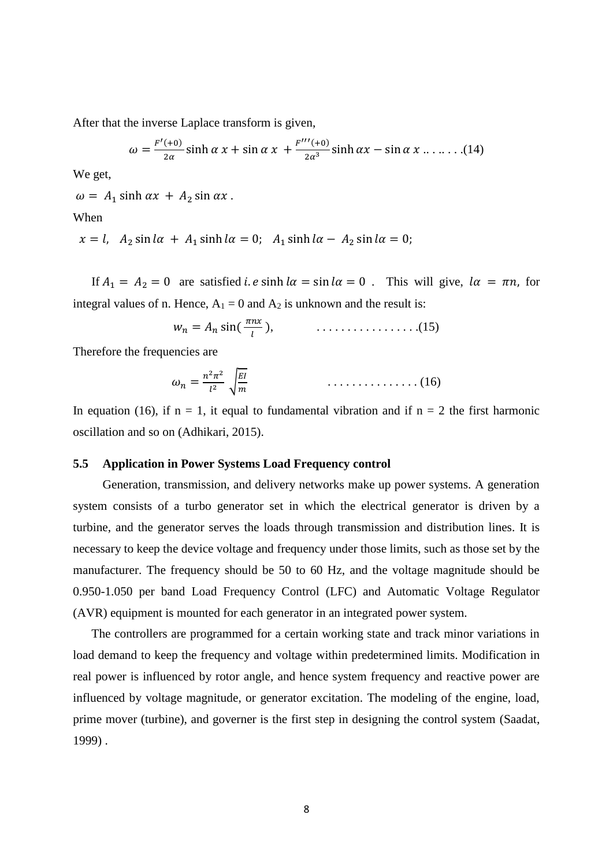After that the inverse Laplace transform is given,

$$
\omega = \frac{F'(+0)}{2\alpha} \sinh \alpha \, x + \sin \alpha \, x + \frac{F'''(+0)}{2\alpha^3} \sinh \alpha x - \sin \alpha \, x \dots \dots \dots (14)
$$

We get,

 $\omega = A_1 \sinh \alpha x + A_2 \sin \alpha x$ .

When

$$
x = l, A_2 \sin l\alpha + A_1 \sinh l\alpha = 0; A_1 \sinh l\alpha - A_2 \sin l\alpha = 0;
$$

If  $A_1 = A_2 = 0$  are satisfied *i. e* sinh  $a = \sin l\alpha = 0$ . This will give,  $l\alpha = \pi n$ , for integral values of n. Hence,  $A_1 = 0$  and  $A_2$  is unknown and the result is:

$$
w_n = A_n \sin(\frac{\pi nx}{l}), \qquad \qquad \ldots \ldots \ldots \ldots \ldots \ldots \ldots \ldots (15)
$$

Therefore the frequencies are

$$
\omega_n = \frac{n^2 \pi^2}{l^2} \sqrt{\frac{EI}{m}} \qquad \qquad \ldots \ldots \ldots \ldots \ldots \ldots (16)
$$

In equation (16), if  $n = 1$ , it equal to fundamental vibration and if  $n = 2$  the first harmonic oscillation and so on (Adhikari, 2015).

## **5.5 Application in Power Systems Load Frequency control**

Generation, transmission, and delivery networks make up power systems. A generation system consists of a turbo generator set in which the electrical generator is driven by a turbine, and the generator serves the loads through transmission and distribution lines. It is necessary to keep the device voltage and frequency under those limits, such as those set by the manufacturer. The frequency should be 50 to 60 Hz, and the voltage magnitude should be 0.950-1.050 per band Load Frequency Control (LFC) and Automatic Voltage Regulator (AVR) equipment is mounted for each generator in an integrated power system.

The controllers are programmed for a certain working state and track minor variations in load demand to keep the frequency and voltage within predetermined limits. Modification in real power is influenced by rotor angle, and hence system frequency and reactive power are influenced by voltage magnitude, or generator excitation. The modeling of the engine, load, prime mover (turbine), and governer is the first step in designing the control system (Saadat, 1999) .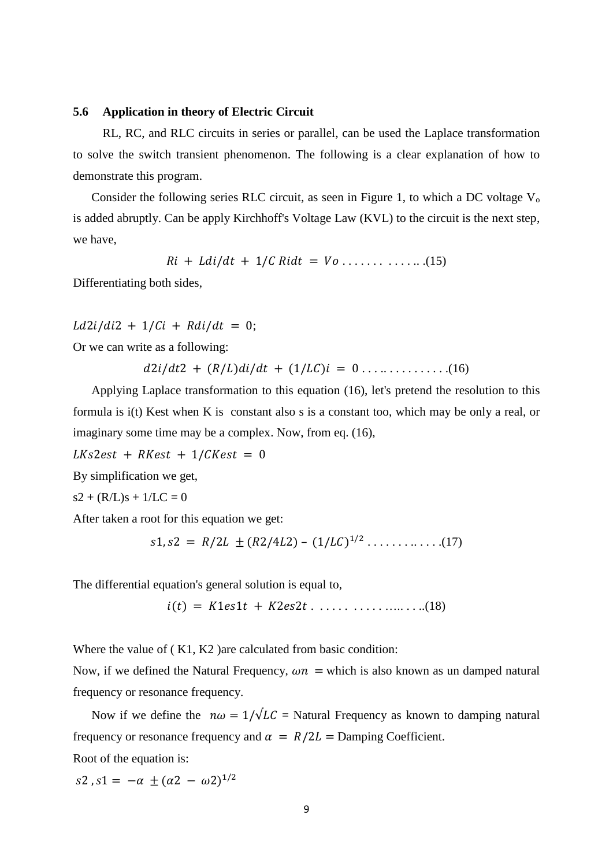## **5.6 Application in theory of Electric Circuit**

RL, RC, and RLC circuits in series or parallel, can be used the Laplace transformation to solve the switch transient phenomenon. The following is a clear explanation of how to demonstrate this program.

Consider the following series RLC circuit, as seen in Figure 1, to which a DC voltage  $V_0$ is added abruptly. Can be apply Kirchhoff's Voltage Law (KVL) to the circuit is the next step, we have,

$$
Ri + Ldi/dt + 1/C Ridt = Vo \ldots \ldots \ldots \ldots \ldots (15)
$$

Differentiating both sides,

 $Ld2i/di2 + 1/Ci + Rdi/dt = 0$ ;

Or we can write as a following:

. . . .. . . . . . . . . . .(16)

Applying Laplace transformation to this equation (16), let's pretend the resolution to this formula is i(t) Kest when K is constant also s is a constant too, which may be only a real, or imaginary some time may be a complex. Now, from eq. (16),

 $LKs2est + RKest + 1/CKest = 0$ 

By simplification we get,

 $s2 + (R/L)s + 1/LC = 0$ 

After taken a root for this equation we get:

$$
s1, s2 = R/2L \pm (R2/4L2) - (1/LC)^{1/2} \dots \dots \dots \dots (17)
$$

The differential equation's general solution is equal to,

. . . . . . . . . . . ….. . . ..(18)

Where the value of (K1, K2) are calculated from basic condition:

Now, if we defined the Natural Frequency,  $\omega n$  = which is also known as un damped natural frequency or resonance frequency.

Now if we define the  $n\omega = 1/\sqrt{LC}$  = Natural Frequency as known to damping natural frequency or resonance frequency and  $\alpha = R/2L$  = Damping Coefficient.

Root of the equation is:

s2, s1 =  $-\alpha \pm (\alpha 2 - \omega 2)^1$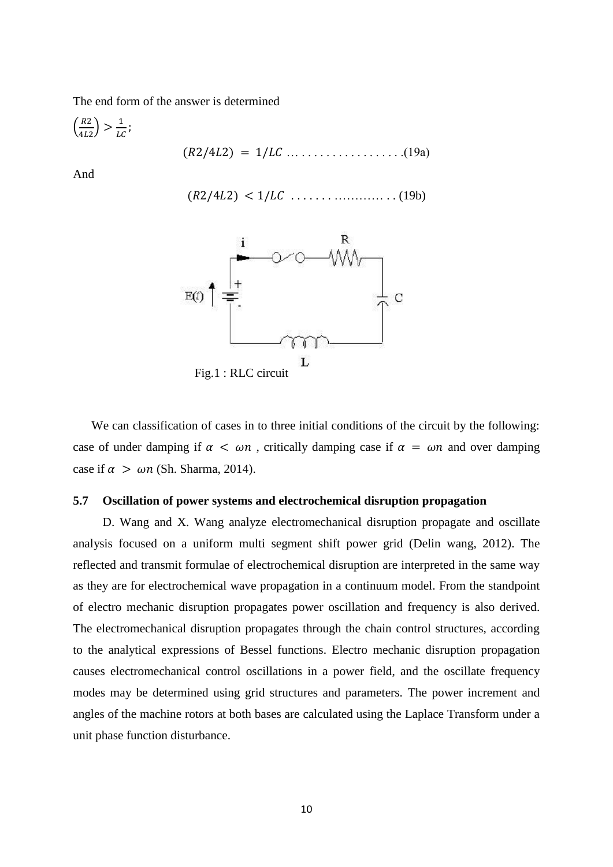The end form of the answer is determined

( ) … . . . . . . . . . . . . . . . . .(19a)

And

. . . . . . . ………… . . (19b)



We can classification of cases in to three initial conditions of the circuit by the following: case of under damping if  $\alpha < \omega n$ , critically damping case if  $\alpha = \omega n$  and over damping case if  $\alpha > \omega n$  (Sh. Sharma, 2014).

## **5.7 Oscillation of power systems and electrochemical disruption propagation**

D. Wang and X. Wang analyze electromechanical disruption propagate and oscillate analysis focused on a uniform multi segment shift power grid (Delin wang, 2012). The reflected and transmit formulae of electrochemical disruption are interpreted in the same way as they are for electrochemical wave propagation in a continuum model. From the standpoint of electro mechanic disruption propagates power oscillation and frequency is also derived. The electromechanical disruption propagates through the chain control structures, according to the analytical expressions of Bessel functions. Electro mechanic disruption propagation causes electromechanical control oscillations in a power field, and the oscillate frequency modes may be determined using grid structures and parameters. The power increment and angles of the machine rotors at both bases are calculated using the Laplace Transform under a unit phase function disturbance.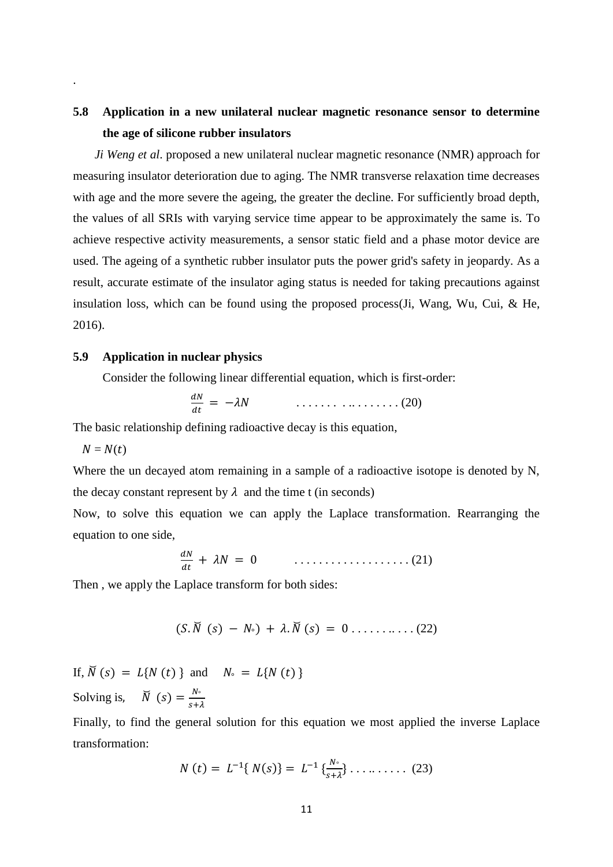# **5.8 Application in a new unilateral nuclear magnetic resonance sensor to determine the age of silicone rubber insulators**

*Ji Weng et al*. proposed a new unilateral nuclear magnetic resonance (NMR) approach for measuring insulator deterioration due to aging. The NMR transverse relaxation time decreases with age and the more severe the ageing, the greater the decline. For sufficiently broad depth, the values of all SRIs with varying service time appear to be approximately the same is. To achieve respective activity measurements, a sensor static field and a phase motor device are used. The ageing of a synthetic rubber insulator puts the power grid's safety in jeopardy. As a result, accurate estimate of the insulator aging status is needed for taking precautions against insulation loss, which can be found using the proposed process(Ji, Wang, Wu, Cui, & He, 2016).

# **5.9 Application in nuclear physics**

Consider the following linear differential equation, which is first-order:

$$
\frac{dN}{dt} = -\lambda N \qquad \qquad \ldots \ldots \ldots \ldots \ldots \ldots (20)
$$

The basic relationship defining radioactive decay is this equation,

 $N = N(t)$ 

.

Where the un decayed atom remaining in a sample of a radioactive isotope is denoted by N, the decay constant represent by  $\lambda$  and the time t (in seconds)

Now, to solve this equation we can apply the Laplace transformation. Rearranging the equation to one side,

$$
\frac{dN}{dt} + \lambda N = 0 \qquad \qquad \ldots \ldots \ldots \ldots \ldots \ldots \ldots (21)
$$

Then , we apply the Laplace transform for both sides:

̆ ̆ . . . . . . .. . . . (22)

If,  $\breve{N}(s) = L{N(t)}$  and  $N_0 = L{N(t)}$ Solving is,  $\breve{N}(s) = \frac{N}{s}$ s

Finally, to find the general solution for this equation we most applied the inverse Laplace transformation:

$$
N(t) = L^{-1}\{N(s)\} = L^{-1}\{\frac{N\delta}{s+\lambda}\}\dots \dots \dots \dots \tag{23}
$$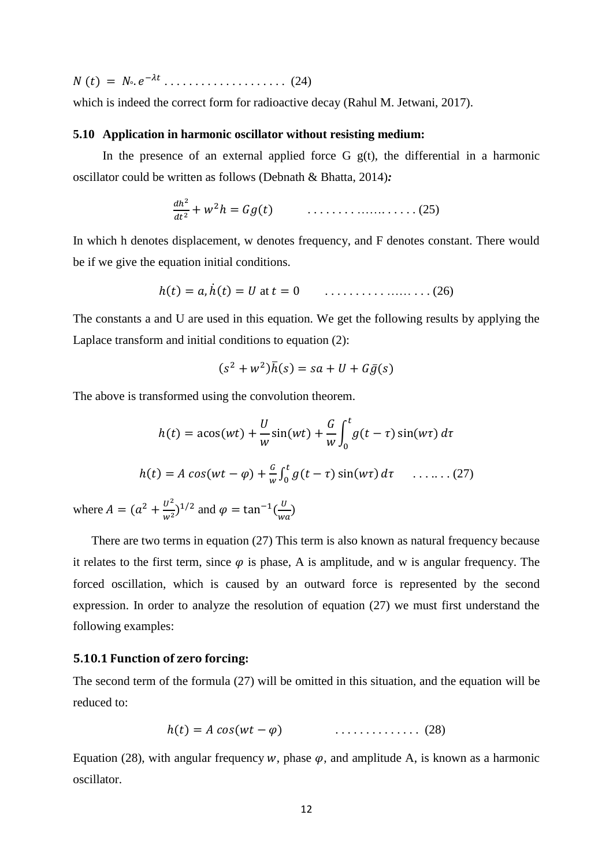. . . . . . . . . . . . . . . . . . . . (24)

which is indeed the correct form for radioactive decay (Rahul M. Jetwani, 2017).

## **5.10 Application in harmonic oscillator without resisting medium:**

In the presence of an external applied force G  $g(t)$ , the differential in a harmonic oscillator could be written as follows (Debnath & Bhatta, 2014)*:*

 . . . . . . . . ……. . . . . . (25)

In which h denotes displacement, w denotes frequency, and F denotes constant. There would be if we give the equation initial conditions.

̇ at . . . . . . . . . . …… . . . (26)

The constants a and U are used in this equation. We get the following results by applying the Laplace transform and initial conditions to equation (2):

$$
(s2 + w2)\overline{h}(s) = sa + U + G\overline{g}(s)
$$

The above is transformed using the convolution theorem.

$$
h(t) = a\cos(wt) + \frac{U}{w}\sin(wt) + \frac{G}{w}\int_0^t g(t-\tau)\sin(w\tau) d\tau
$$
  

$$
h(t) = A\cos(wt - \varphi) + \frac{G}{w}\int_0^t g(t-\tau)\sin(w\tau) d\tau \quad \dots \dots \dots (27)
$$

where  $A = (a^2 + \frac{v^2}{m^2})$  $\frac{U^2}{w^2}$ )<sup>1/2</sup> and  $\varphi = \tan^{-1}(\frac{U}{w}$  $\frac{0}{wa}$ 

There are two terms in equation (27) This term is also known as natural frequency because it relates to the first term, since  $\varphi$  is phase, A is amplitude, and w is angular frequency. The forced oscillation, which is caused by an outward force is represented by the second expression. In order to analyze the resolution of equation (27) we must first understand the following examples:

## **5.10.1 Function of zero forcing:**

The second term of the formula (27) will be omitted in this situation, and the equation will be reduced to:

$$
h(t) = A \cos(wt - \varphi) \qquad \qquad \ldots \ldots \ldots \ldots \qquad (28)
$$

Equation (28), with angular frequency w, phase  $\varphi$ , and amplitude A, is known as a harmonic oscillator.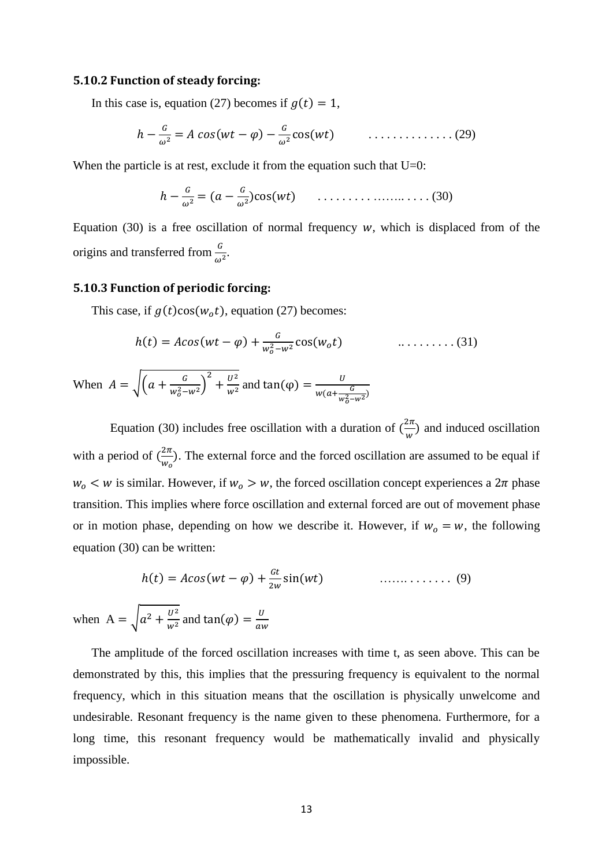#### **5.10.2 Function of steady forcing:**

In this case is, equation (27) becomes if  $g(t) = 1$ ,

$$
h - \frac{G}{\omega^2} = A \cos(wt - \varphi) - \frac{G}{\omega^2} \cos(wt) \qquad \qquad \ldots \ldots \ldots \ldots \ldots (29)
$$

When the particle is at rest, exclude it from the equation such that  $U=0$ :

 . . . . . . . . . …….. . . . . (30)

Equation (30) is a free oscillation of normal frequency  $w$ , which is displaced from of the origins and transferred from  $\frac{G}{\omega^2}$ .

# **5.10.3 Function of periodic forcing:**

when A

This case, if  $g(t)\cos(w_0 t)$ , equation (27) becomes:

$$
h(t) = A\cos(wt - \varphi) + \frac{G}{w_o^2 - w^2} \cos(w_o t) \qquad \qquad \dots \dots \dots \dots (31)
$$

When 
$$
A = \sqrt{\left(a + \frac{G}{w_0^2 - w^2}\right)^2 + \frac{U^2}{w^2}}
$$
 and  $\tan(\varphi) = \frac{U}{w(a + \frac{G}{w_0^2 - w^2})}$ 

Equation (30) includes free oscillation with a duration of  $(\frac{2}{3})$  $\frac{2\pi}{w}$ ) and induced oscillation with a period of  $(\frac{2}{\epsilon})$  $\frac{2\pi}{w_0}$ . The external force and the forced oscillation are assumed to be equal if  $w_0 < w$  is similar. However, if  $w_0 > w$ , the forced oscillation concept experiences a  $2\pi$  phase transition. This implies where force oscillation and external forced are out of movement phase or in motion phase, depending on how we describe it. However, if  $w_0 = w$ , the following equation (30) can be written:

$$
h(t) = A\cos(wt - \varphi) + \frac{ct}{2w}\sin(wt) \qquad \qquad \dots \dots \dots \dots \dots \tag{9}
$$

$$
= \sqrt{a^2 + \frac{U^2}{w^2}} \text{ and } \tan(\varphi) = \frac{U}{aw}
$$

The amplitude of the forced oscillation increases with time t, as seen above. This can be demonstrated by this, this implies that the pressuring frequency is equivalent to the normal frequency, which in this situation means that the oscillation is physically unwelcome and undesirable. Resonant frequency is the name given to these phenomena. Furthermore, for a long time, this resonant frequency would be mathematically invalid and physically impossible.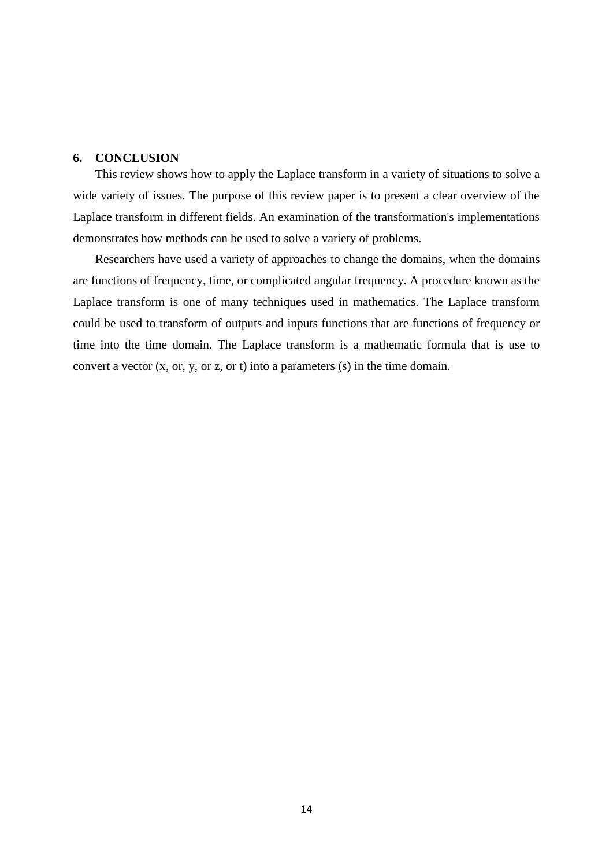# **6. CONCLUSION**

This review shows how to apply the Laplace transform in a variety of situations to solve a wide variety of issues. The purpose of this review paper is to present a clear overview of the Laplace transform in different fields. An examination of the transformation's implementations demonstrates how methods can be used to solve a variety of problems.

Researchers have used a variety of approaches to change the domains, when the domains are functions of frequency, time, or complicated angular frequency. A procedure known as the Laplace transform is one of many techniques used in mathematics. The Laplace transform could be used to transform of outputs and inputs functions that are functions of frequency or time into the time domain. The Laplace transform is a mathematic formula that is use to convert a vector (x, or, y, or z, or t) into a parameters (s) in the time domain.